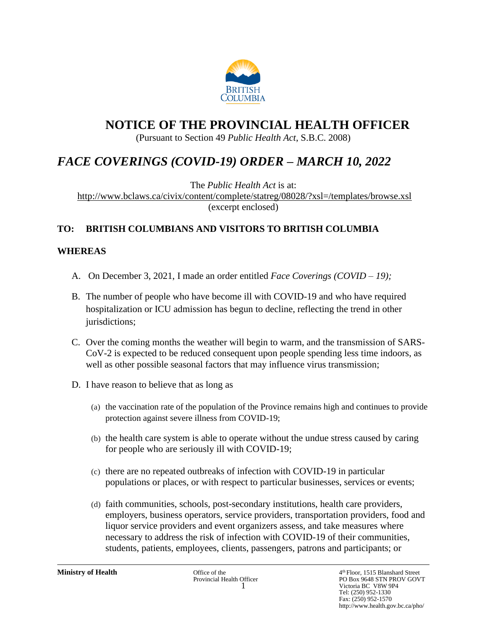

# **NOTICE OF THE PROVINCIAL HEALTH OFFICER**

(Pursuant to Section 49 *Public Health Act*, S.B.C. 2008)

# *FACE COVERINGS (COVID-19) ORDER – MARCH 10, 2022*

The *Public Health Act* is at: <http://www.bclaws.ca/civix/content/complete/statreg/08028/?xsl=/templates/browse.xsl> (excerpt enclosed)

## **TO: BRITISH COLUMBIANS AND VISITORS TO BRITISH COLUMBIA**

## **WHEREAS**

- A. On December 3, 2021, I made an order entitled *Face Coverings (COVID – 19);*
- B. The number of people who have become ill with COVID-19 and who have required hospitalization or ICU admission has begun to decline, reflecting the trend in other jurisdictions;
- C. Over the coming months the weather will begin to warm, and the transmission of SARS-CoV-2 is expected to be reduced consequent upon people spending less time indoors, as well as other possible seasonal factors that may influence virus transmission;
- D. I have reason to believe that as long as
	- (a) the vaccination rate of the population of the Province remains high and continues to provide protection against severe illness from COVID-19;
	- (b) the health care system is able to operate without the undue stress caused by caring for people who are seriously ill with COVID-19;
	- (c) there are no repeated outbreaks of infection with COVID-19 in particular populations or places, or with respect to particular businesses, services or events;
	- (d) faith communities, schools, post-secondary institutions, health care providers, employers, business operators, service providers, transportation providers, food and liquor service providers and event organizers assess, and take measures where necessary to address the risk of infection with COVID-19 of their communities, students, patients, employees, clients, passengers, patrons and participants; or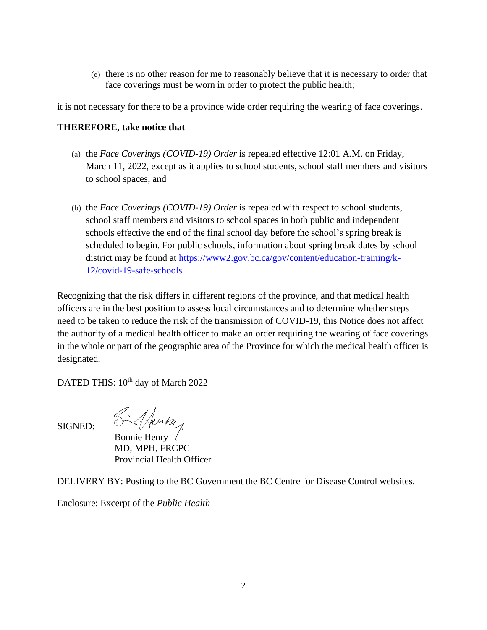(e) there is no other reason for me to reasonably believe that it is necessary to order that face coverings must be worn in order to protect the public health;

it is not necessary for there to be a province wide order requiring the wearing of face coverings.

## **THEREFORE, take notice that**

- (a) the *Face Coverings (COVID-19) Order* is repealed effective 12:01 A.M. on Friday, March 11, 2022, except as it applies to school students, school staff members and visitors to school spaces, and
- (b) the *Face Coverings (COVID-19) Order* is repealed with respect to school students, school staff members and visitors to school spaces in both public and independent schools effective the end of the final school day before the school's spring break is scheduled to begin. For public schools, information about spring break dates by school district may be found at [https://www2.gov.bc.ca/gov/content/education-training/k-](https://www2.gov.bc.ca/gov/content/education-training/k-12/covid-19-safe-schools)[12/covid-19-safe-schools](https://www2.gov.bc.ca/gov/content/education-training/k-12/covid-19-safe-schools)

Recognizing that the risk differs in different regions of the province, and that medical health officers are in the best position to assess local circumstances and to determine whether steps need to be taken to reduce the risk of the transmission of COVID-19, this Notice does not affect the authority of a medical health officer to make an order requiring the wearing of face coverings in the whole or part of the geographic area of the Province for which the medical health officer is designated.

DATED THIS: 10<sup>th</sup> day of March 2022

 $_{SIGNED:}$   $\mathcal{L}_{\mathcal{A}}$   $\mathcal{L}_{\mathcal{A}}$ 

Bonnie Henry MD, MPH, FRCPC Provincial Health Officer

DELIVERY BY: Posting to the BC Government the BC Centre for Disease Control websites.

Enclosure: Excerpt of the *Public Health*